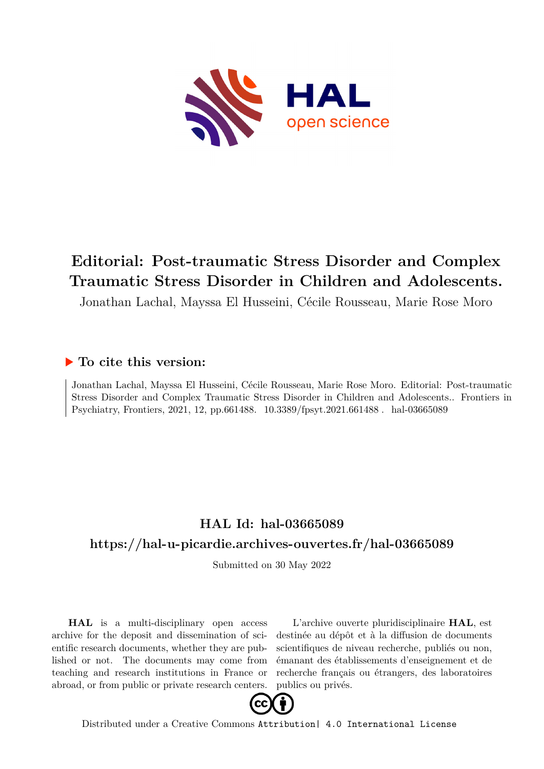

## **Editorial: Post-traumatic Stress Disorder and Complex Traumatic Stress Disorder in Children and Adolescents.**

Jonathan Lachal, Mayssa El Husseini, Cécile Rousseau, Marie Rose Moro

## **To cite this version:**

Jonathan Lachal, Mayssa El Husseini, Cécile Rousseau, Marie Rose Moro. Editorial: Post-traumatic Stress Disorder and Complex Traumatic Stress Disorder in Children and Adolescents.. Frontiers in Psychiatry, Frontiers, 2021, 12, pp.661488.  $10.3389$ /fpsyt.2021.661488. hal-03665089

## **HAL Id: hal-03665089 <https://hal-u-picardie.archives-ouvertes.fr/hal-03665089>**

Submitted on 30 May 2022

**HAL** is a multi-disciplinary open access archive for the deposit and dissemination of scientific research documents, whether they are published or not. The documents may come from teaching and research institutions in France or abroad, or from public or private research centers.

L'archive ouverte pluridisciplinaire **HAL**, est destinée au dépôt et à la diffusion de documents scientifiques de niveau recherche, publiés ou non, émanant des établissements d'enseignement et de recherche français ou étrangers, des laboratoires publics ou privés.



Distributed under a Creative Commons [Attribution| 4.0 International License](http://creativecommons.org/licenses/by/4.0/)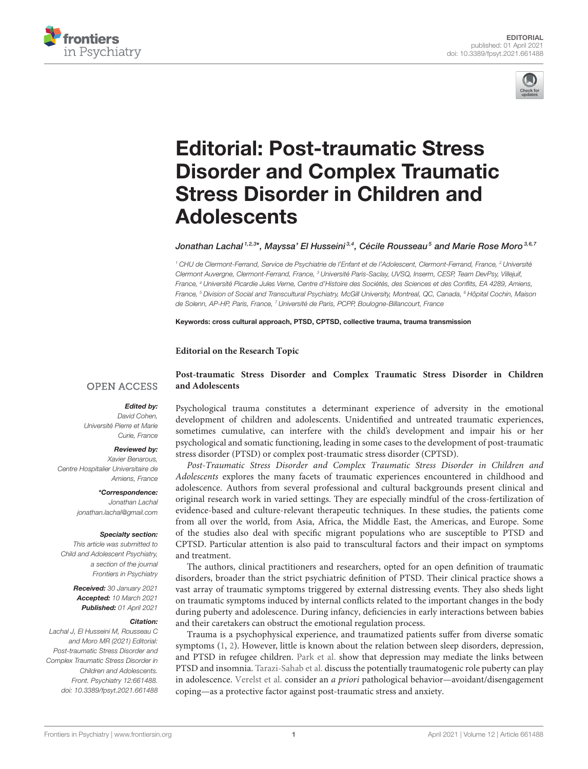



# Editorial: Post-traumatic Stress [Disorder and Complex Traumatic](https://www.frontiersin.org/articles/10.3389/fpsyt.2021.661488/full) Stress Disorder in Children and **Adolescents**

Jonathan Lachal  $^{1,2,3\star}$ , Mayssa' El Husseini $^{3,4}$ , Cécile Rousseau $^5$  and Marie Rose Moro $^{3,6,7}$ 

<sup>1</sup> CHU de Clermont-Ferrand, Service de Psychiatrie de l'Enfant et de l'Adolescent, Clermont-Ferrand, France, <sup>2</sup> Université Clermont Auvergne, Clermont-Ferrand, France, <sup>3</sup> Université Paris-Saclay, UVSQ, Inserm, CESP, Team DevPsy, Villejuif, France, <sup>4</sup> Université Picardie Jules Verne, Centre d'Histoire des Sociétés, des Sciences et des Conflits, EA 4289, Amiens, France, <sup>5</sup> Division of Social and Transcultural Psychiatry, McGill University, Montreal, QC, Canada, <sup>6</sup> Hôpital Cochin, Maison de Solenn, AP-HP, Paris, France, 7 Université de Paris, PCPP, Boulogne-Billancourt, France

Keywords: cross cultural approach, PTSD, CPTSD, collective trauma, trauma transmission

#### **Editorial on the Research Topic**

**and Adolescents**

#### **OPEN ACCESS**

#### Edited by:

David Cohen, Université Pierre et Marie Curie, France

#### Reviewed by:

Xavier Benarous, Centre Hospitalier Universitaire de Amiens, France

> \*Correspondence: Jonathan Lachal [jonathan.lachal@gmail.com](mailto:jonathan.lachal@gmail.com)

#### Specialty section:

This article was submitted to Child and Adolescent Psychiatry, a section of the journal Frontiers in Psychiatry

> Received: 30 January 2021 Accepted: 10 March 2021 Published: 01 April 2021

#### Citation:

Lachal J, El Husseini M, Rousseau C and Moro MR (2021) Editorial: Post-traumatic Stress Disorder and Complex Traumatic Stress Disorder in Children and Adolescents. Front. Psychiatry 12:661488. doi: [10.3389/fpsyt.2021.661488](https://doi.org/10.3389/fpsyt.2021.661488)

Psychological trauma constitutes a determinant experience of adversity in the emotional development of children and adolescents. Unidentified and untreated traumatic experiences, sometimes cumulative, can interfere with the child's development and impair his or her psychological and somatic functioning, leading in some cases to the development of post-traumatic stress disorder (PTSD) or complex post-traumatic stress disorder (CPTSD).

**[Post-traumatic Stress Disorder and Complex Traumatic Stress Disorder in Children](https://www.frontiersin.org/research-topics/9311/post-traumatic-stress-disorder-and-complex-traumatic-stress-disorder-in-children-and-adolescents)**

Post-Traumatic Stress Disorder and Complex Traumatic Stress Disorder in Children and Adolescents explores the many facets of traumatic experiences encountered in childhood and adolescence. Authors from several professional and cultural backgrounds present clinical and original research work in varied settings. They are especially mindful of the cross-fertilization of evidence-based and culture-relevant therapeutic techniques. In these studies, the patients come from all over the world, from Asia, Africa, the Middle East, the Americas, and Europe. Some of the studies also deal with specific migrant populations who are susceptible to PTSD and CPTSD. Particular attention is also paid to transcultural factors and their impact on symptoms and treatment.

The authors, clinical practitioners and researchers, opted for an open definition of traumatic disorders, broader than the strict psychiatric definition of PTSD. Their clinical practice shows a vast array of traumatic symptoms triggered by external distressing events. They also sheds light on traumatic symptoms induced by internal conflicts related to the important changes in the body during puberty and adolescence. During infancy, deficiencies in early interactions between babies and their caretakers can obstruct the emotional regulation process.

Trauma is a psychophysical experience, and traumatized patients suffer from diverse somatic symptoms [\(1,](#page-2-0) [2\)](#page-2-1). However, little is known about the relation between sleep disorders, depression, and PTSD in refugee children. [Park et al.](https://doi.org/10.3389/fpsyt.2019.00211) show that depression may mediate the links between PTSD and insomnia. [Tarazi-Sahab et al.](https://doi.org/10.3389/fpsyt.2021.480852) discuss the potentially traumatogenic role puberty can play in adolescence. [Verelst et al.](https://doi.org/10.3389/fpsyt.2020.00382) consider an a priori pathological behavior—avoidant/disengagement coping—as a protective factor against post-traumatic stress and anxiety.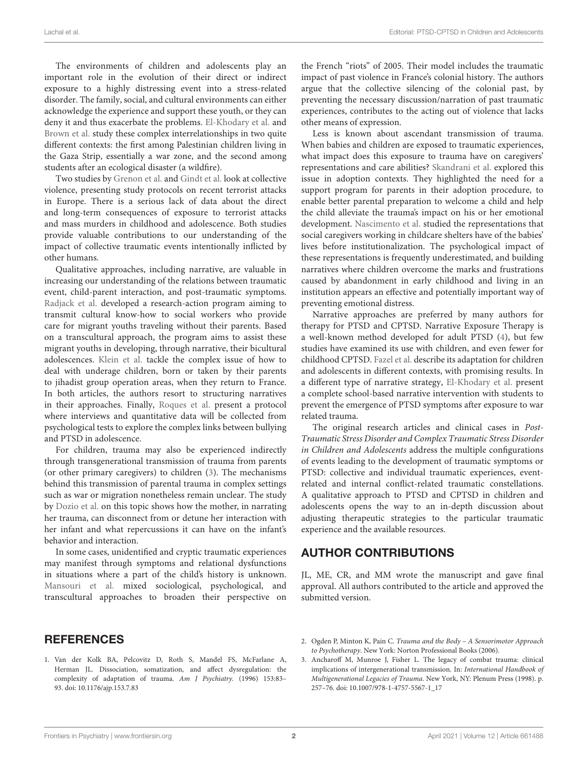The environments of children and adolescents play an important role in the evolution of their direct or indirect exposure to a highly distressing event into a stress-related disorder. The family, social, and cultural environments can either acknowledge the experience and support these youth, or they can deny it and thus exacerbate the problems. [El-Khodary et al.](https://doi.org/10.3389/fpsyt.2020.00004) and [Brown et al.](https://doi.org/10.3389/fpsyt.2019.00623) study these complex interrelationships in two quite different contexts: the first among Palestinian children living in the Gaza Strip, essentially a war zone, and the second among students after an ecological disaster (a wildfire).

Two studies by [Grenon et al.](https://doi.org/10.3389/fpsyt.2019.00744) and [Gindt et al.](https://doi.org/10.3389/fpsyt.2019.00629) look at collective violence, presenting study protocols on recent terrorist attacks in Europe. There is a serious lack of data about the direct and long-term consequences of exposure to terrorist attacks and mass murders in childhood and adolescence. Both studies provide valuable contributions to our understanding of the impact of collective traumatic events intentionally inflicted by other humans.

Qualitative approaches, including narrative, are valuable in increasing our understanding of the relations between traumatic event, child-parent interaction, and post-traumatic symptoms. [Radjack et al.](https://doi.org/10.3389/fpsyt.2020.00528) developed a research-action program aiming to transmit cultural know-how to social workers who provide care for migrant youths traveling without their parents. Based on a transcultural approach, the program aims to assist these migrant youths in developing, through narrative, their bicultural adolescences. [Klein et al.](https://doi.org/10.3389/fpsyt.2020.00149) tackle the complex issue of how to deal with underage children, born or taken by their parents to jihadist group operation areas, when they return to France. In both articles, the authors resort to structuring narratives in their approaches. Finally, [Roques et al.](https://doi.org/10.3389/fpsyt.2019.00890) present a protocol where interviews and quantitative data will be collected from psychological tests to explore the complex links between bullying and PTSD in adolescence.

For children, trauma may also be experienced indirectly through transgenerational transmission of trauma from parents (or other primary caregivers) to children [\(3\)](#page-2-2). The mechanisms behind this transmission of parental trauma in complex settings such as war or migration nonetheless remain unclear. The study by [Dozio et al.](https://doi.org/10.3389/fpsyt.2020.480690) on this topic shows how the mother, in narrating her trauma, can disconnect from or detune her interaction with her infant and what repercussions it can have on the infant's behavior and interaction.

In some cases, unidentified and cryptic traumatic experiences may manifest through symptoms and relational dysfunctions in situations where a part of the child's history is unknown. [Mansouri et al.](https://doi.org/10.3389/fpsyt.2019.00909) mixed sociological, psychological, and transcultural approaches to broaden their perspective on the French "riots" of 2005. Their model includes the traumatic impact of past violence in France's colonial history. The authors argue that the collective silencing of the colonial past, by preventing the necessary discussion/narration of past traumatic experiences, contributes to the acting out of violence that lacks other means of expression.

Less is known about ascendant transmission of trauma. When babies and children are exposed to traumatic experiences, what impact does this exposure to trauma have on caregivers' representations and care abilities? [Skandrani et al.](https://doi.org/10.3389/fpsyt.2019.00866) explored this issue in adoption contexts. They highlighted the need for a support program for parents in their adoption procedure, to enable better parental preparation to welcome a child and help the child alleviate the trauma's impact on his or her emotional development. [Nascimento et al.](https://doi.org/10.3389/fpsyt.2020.00266) studied the representations that social caregivers working in childcare shelters have of the babies' lives before institutionalization. The psychological impact of these representations is frequently underestimated, and building narratives where children overcome the marks and frustrations caused by abandonment in early childhood and living in an institution appears an effective and potentially important way of preventing emotional distress.

Narrative approaches are preferred by many authors for therapy for PTSD and CPTSD. Narrative Exposure Therapy is a well-known method developed for adult PTSD [\(4\)](#page-3-0), but few studies have examined its use with children, and even fewer for childhood CPTSD. [Fazel et al.](https://doi.org/10.3389/fpsyt.2020.00019) describe its adaptation for children and adolescents in different contexts, with promising results. In a different type of narrative strategy, [El-Khodary et al.](https://doi.org/10.3389/fpsyt.2019.01031) present a complete school-based narrative intervention with students to prevent the emergence of PTSD symptoms after exposure to war related trauma.

The original research articles and clinical cases in Post-Traumatic Stress Disorder and Complex Traumatic Stress Disorder in Children and Adolescents address the multiple configurations of events leading to the development of traumatic symptoms or PTSD: collective and individual traumatic experiences, eventrelated and internal conflict-related traumatic constellations. A qualitative approach to PTSD and CPTSD in children and adolescents opens the way to an in-depth discussion about adjusting therapeutic strategies to the particular traumatic experience and the available resources.

### AUTHOR CONTRIBUTIONS

JL, ME, CR, and MM wrote the manuscript and gave final approval. All authors contributed to the article and approved the submitted version.

### **REFERENCES**

- <span id="page-2-0"></span>1. Van der Kolk BA, Pelcovitz D, Roth S, Mandel FS, McFarlane A, Herman JL. Dissociation, somatization, and affect dysregulation: the complexity of adaptation of trauma. Am J Psychiatry. (1996) 153:83– 93. doi: [10.1176/ajp.153.7.83](https://doi.org/10.1176/ajp.153.7.83)
- <span id="page-2-1"></span>2. Ogden P, Minton K, Pain C. Trauma and the Body – A Sensorimotor Approach to Psychotherapy. New York: Norton Professional Books (2006).
- <span id="page-2-2"></span>3. Ancharoff M, Munroe J, Fisher L. The legacy of combat trauma: clinical implications of intergenerational transmission. In: International Handbook of Multigenerational Legacies of Trauma. New York, NY: Plenum Press (1998). p. 257–76. doi: [10.1007/978-1-4757-5567-1\\_17](https://doi.org/10.1007/978-1-4757-5567-1_17)